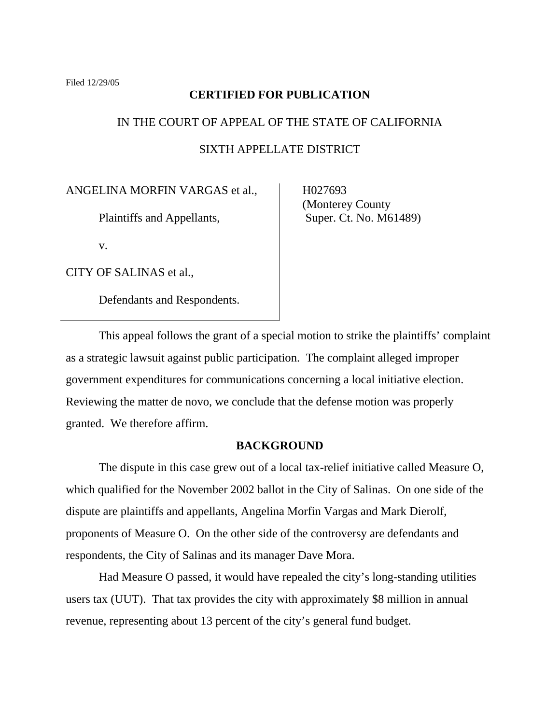# **CERTIFIED FOR PUBLICATION**

# IN THE COURT OF APPEAL OF THE STATE OF CALIFORNIA SIXTH APPELLATE DISTRICT

ANGELINA MORFIN VARGAS et al.,

Plaintiffs and Appellants,

v.

CITY OF SALINAS et al.,

Defendants and Respondents.

 H027693 (Monterey County Super. Ct. No. M61489)

 This appeal follows the grant of a special motion to strike the plaintiffs' complaint as a strategic lawsuit against public participation. The complaint alleged improper government expenditures for communications concerning a local initiative election. Reviewing the matter de novo, we conclude that the defense motion was properly granted. We therefore affirm.

# **BACKGROUND**

 The dispute in this case grew out of a local tax-relief initiative called Measure O, which qualified for the November 2002 ballot in the City of Salinas. On one side of the dispute are plaintiffs and appellants, Angelina Morfin Vargas and Mark Dierolf, proponents of Measure O. On the other side of the controversy are defendants and respondents, the City of Salinas and its manager Dave Mora.

 Had Measure O passed, it would have repealed the city's long-standing utilities users tax (UUT). That tax provides the city with approximately \$8 million in annual revenue, representing about 13 percent of the city's general fund budget.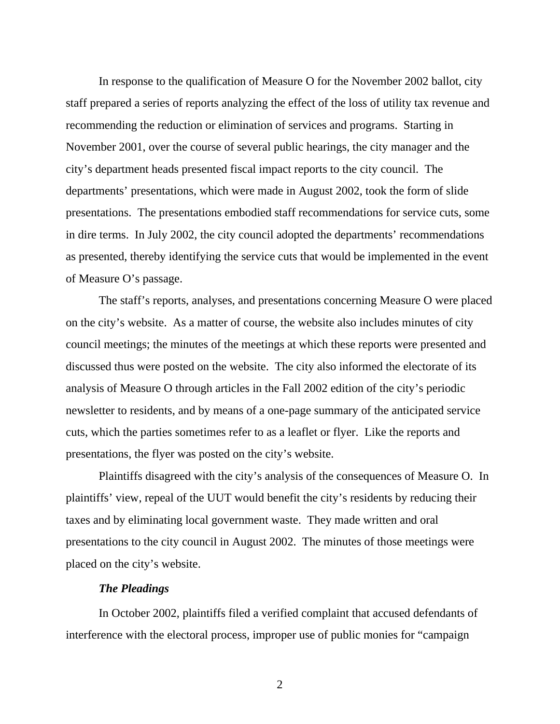In response to the qualification of Measure O for the November 2002 ballot, city staff prepared a series of reports analyzing the effect of the loss of utility tax revenue and recommending the reduction or elimination of services and programs. Starting in November 2001, over the course of several public hearings, the city manager and the city's department heads presented fiscal impact reports to the city council. The departments' presentations, which were made in August 2002, took the form of slide presentations. The presentations embodied staff recommendations for service cuts, some in dire terms. In July 2002, the city council adopted the departments' recommendations as presented, thereby identifying the service cuts that would be implemented in the event of Measure O's passage.

 The staff's reports, analyses, and presentations concerning Measure O were placed on the city's website. As a matter of course, the website also includes minutes of city council meetings; the minutes of the meetings at which these reports were presented and discussed thus were posted on the website. The city also informed the electorate of its analysis of Measure O through articles in the Fall 2002 edition of the city's periodic newsletter to residents, and by means of a one-page summary of the anticipated service cuts, which the parties sometimes refer to as a leaflet or flyer. Like the reports and presentations, the flyer was posted on the city's website.

 Plaintiffs disagreed with the city's analysis of the consequences of Measure O. In plaintiffs' view, repeal of the UUT would benefit the city's residents by reducing their taxes and by eliminating local government waste. They made written and oral presentations to the city council in August 2002. The minutes of those meetings were placed on the city's website.

# *The Pleadings*

 In October 2002, plaintiffs filed a verified complaint that accused defendants of interference with the electoral process, improper use of public monies for "campaign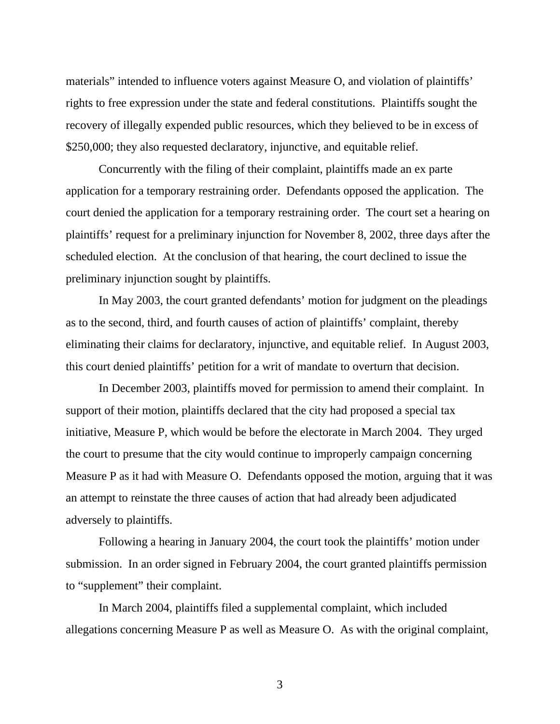materials" intended to influence voters against Measure O, and violation of plaintiffs' rights to free expression under the state and federal constitutions. Plaintiffs sought the recovery of illegally expended public resources, which they believed to be in excess of \$250,000; they also requested declaratory, injunctive, and equitable relief.

 Concurrently with the filing of their complaint, plaintiffs made an ex parte application for a temporary restraining order. Defendants opposed the application. The court denied the application for a temporary restraining order. The court set a hearing on plaintiffs' request for a preliminary injunction for November 8, 2002, three days after the scheduled election. At the conclusion of that hearing, the court declined to issue the preliminary injunction sought by plaintiffs.

 In May 2003, the court granted defendants' motion for judgment on the pleadings as to the second, third, and fourth causes of action of plaintiffs' complaint, thereby eliminating their claims for declaratory, injunctive, and equitable relief. In August 2003, this court denied plaintiffs' petition for a writ of mandate to overturn that decision.

 In December 2003, plaintiffs moved for permission to amend their complaint. In support of their motion, plaintiffs declared that the city had proposed a special tax initiative, Measure P, which would be before the electorate in March 2004. They urged the court to presume that the city would continue to improperly campaign concerning Measure P as it had with Measure O. Defendants opposed the motion, arguing that it was an attempt to reinstate the three causes of action that had already been adjudicated adversely to plaintiffs.

 Following a hearing in January 2004, the court took the plaintiffs' motion under submission. In an order signed in February 2004, the court granted plaintiffs permission to "supplement" their complaint.

 In March 2004, plaintiffs filed a supplemental complaint, which included allegations concerning Measure P as well as Measure O. As with the original complaint,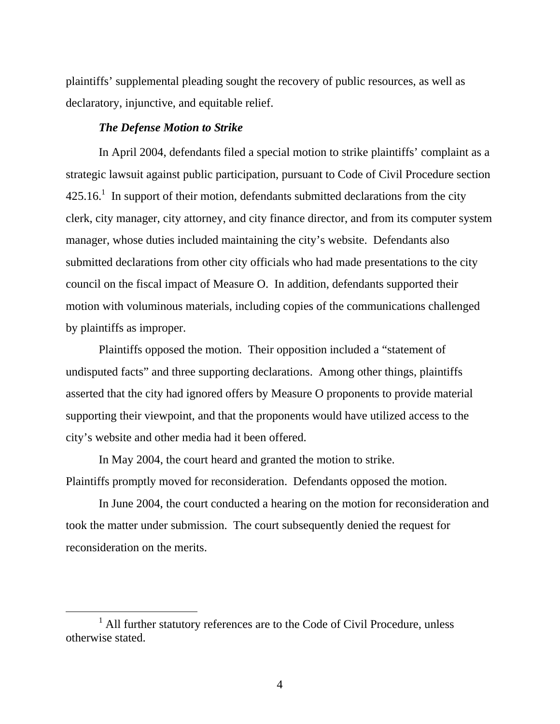plaintiffs' supplemental pleading sought the recovery of public resources, as well as declaratory, injunctive, and equitable relief.

# *The Defense Motion to Strike*

 In April 2004, defendants filed a special motion to strike plaintiffs' complaint as a strategic lawsuit against public participation, pursuant to Code of Civil Procedure section  $425.16<sup>1</sup>$  In support of their motion, defendants submitted declarations from the city clerk, city manager, city attorney, and city finance director, and from its computer system manager, whose duties included maintaining the city's website. Defendants also submitted declarations from other city officials who had made presentations to the city council on the fiscal impact of Measure O. In addition, defendants supported their motion with voluminous materials, including copies of the communications challenged by plaintiffs as improper.

 Plaintiffs opposed the motion. Their opposition included a "statement of undisputed facts" and three supporting declarations. Among other things, plaintiffs asserted that the city had ignored offers by Measure O proponents to provide material supporting their viewpoint, and that the proponents would have utilized access to the city's website and other media had it been offered.

 In May 2004, the court heard and granted the motion to strike. Plaintiffs promptly moved for reconsideration. Defendants opposed the motion.

 In June 2004, the court conducted a hearing on the motion for reconsideration and took the matter under submission. The court subsequently denied the request for reconsideration on the merits.

<sup>&</sup>lt;u>1</u>  $<sup>1</sup>$  All further statutory references are to the Code of Civil Procedure, unless</sup> otherwise stated.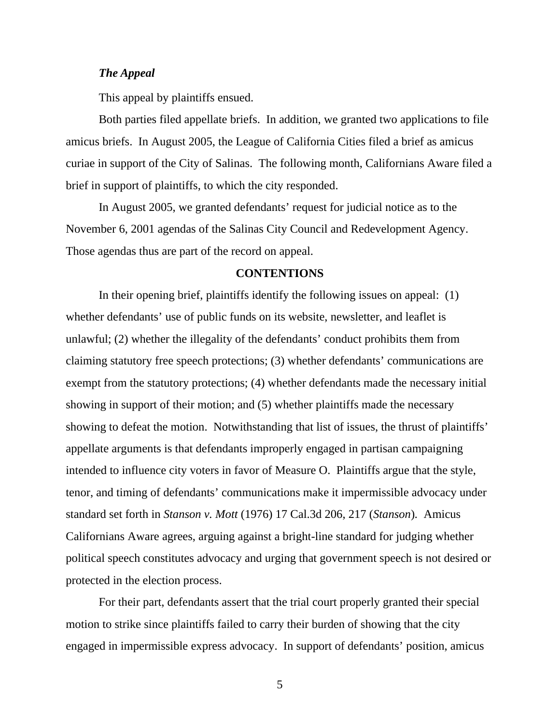# *The Appeal*

This appeal by plaintiffs ensued.

 Both parties filed appellate briefs. In addition, we granted two applications to file amicus briefs. In August 2005, the League of California Cities filed a brief as amicus curiae in support of the City of Salinas. The following month, Californians Aware filed a brief in support of plaintiffs, to which the city responded.

 In August 2005, we granted defendants' request for judicial notice as to the November 6, 2001 agendas of the Salinas City Council and Redevelopment Agency. Those agendas thus are part of the record on appeal.

# **CONTENTIONS**

 In their opening brief, plaintiffs identify the following issues on appeal: (1) whether defendants' use of public funds on its website, newsletter, and leaflet is unlawful; (2) whether the illegality of the defendants' conduct prohibits them from claiming statutory free speech protections; (3) whether defendants' communications are exempt from the statutory protections; (4) whether defendants made the necessary initial showing in support of their motion; and (5) whether plaintiffs made the necessary showing to defeat the motion. Notwithstanding that list of issues, the thrust of plaintiffs' appellate arguments is that defendants improperly engaged in partisan campaigning intended to influence city voters in favor of Measure O. Plaintiffs argue that the style, tenor, and timing of defendants' communications make it impermissible advocacy under standard set forth in *Stanson v. Mott* (1976) 17 Cal.3d 206, 217 (*Stanson*)*.* Amicus Californians Aware agrees, arguing against a bright-line standard for judging whether political speech constitutes advocacy and urging that government speech is not desired or protected in the election process.

 For their part, defendants assert that the trial court properly granted their special motion to strike since plaintiffs failed to carry their burden of showing that the city engaged in impermissible express advocacy. In support of defendants' position, amicus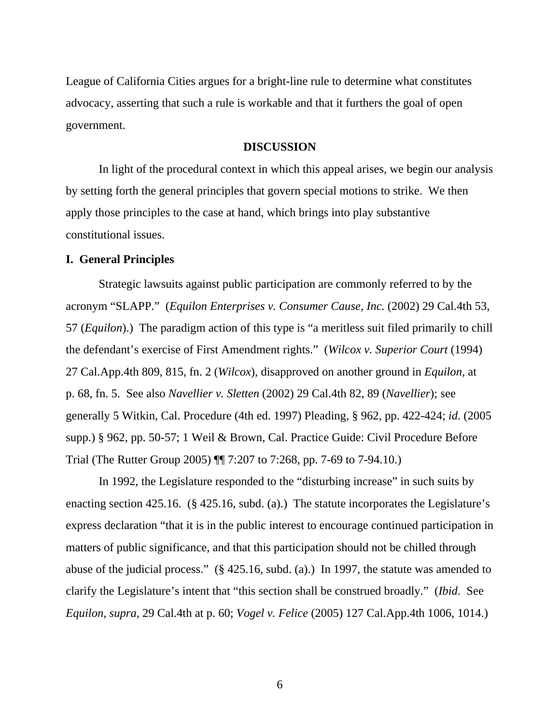League of California Cities argues for a bright-line rule to determine what constitutes advocacy, asserting that such a rule is workable and that it furthers the goal of open government.

#### **DISCUSSION**

 In light of the procedural context in which this appeal arises, we begin our analysis by setting forth the general principles that govern special motions to strike. We then apply those principles to the case at hand, which brings into play substantive constitutional issues.

## **I. General Principles**

 Strategic lawsuits against public participation are commonly referred to by the acronym "SLAPP." (*Equilon Enterprises v. Consumer Cause, Inc.* (2002) 29 Cal.4th 53, 57 (*Equilon*).) The paradigm action of this type is "a meritless suit filed primarily to chill the defendant's exercise of First Amendment rights." (*Wilcox v. Superior Court* (1994) 27 Cal.App.4th 809, 815, fn. 2 (*Wilcox*), disapproved on another ground in *Equilon,* at p. 68, fn. 5. See also *Navellier v. Sletten* (2002) 29 Cal.4th 82, 89 (*Navellier*); see generally 5 Witkin, Cal. Procedure (4th ed. 1997) Pleading, § 962, pp. 422-424; *id*. (2005 supp.) § 962, pp. 50-57; 1 Weil & Brown, Cal. Practice Guide: Civil Procedure Before Trial (The Rutter Group 2005) ¶¶ 7:207 to 7:268, pp. 7-69 to 7-94.10.)

 In 1992, the Legislature responded to the "disturbing increase" in such suits by enacting section 425.16. (§ 425.16, subd. (a).) The statute incorporates the Legislature's express declaration "that it is in the public interest to encourage continued participation in matters of public significance, and that this participation should not be chilled through abuse of the judicial process." (§ 425.16, subd. (a).) In 1997, the statute was amended to clarify the Legislature's intent that "this section shall be construed broadly." (*Ibid*. See *Equilon, supra,* 29 Cal.4th at p. 60; *Vogel v. Felice* (2005) 127 Cal.App.4th 1006, 1014.)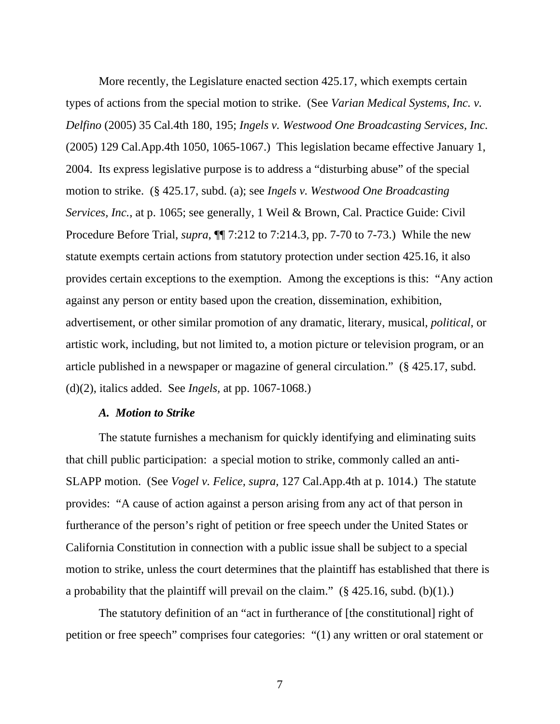More recently, the Legislature enacted section 425.17, which exempts certain types of actions from the special motion to strike. (See *Varian Medical Systems, Inc. v. Delfino* (2005) 35 Cal.4th 180, 195; *Ingels v. Westwood One Broadcasting Services, Inc.* (2005) 129 Cal.App.4th 1050, 1065-1067.) This legislation became effective January 1, 2004. Its express legislative purpose is to address a "disturbing abuse" of the special motion to strike. (§ 425.17, subd. (a); see *Ingels v. Westwood One Broadcasting Services, Inc.,* at p. 1065; see generally, 1 Weil & Brown, Cal. Practice Guide: Civil Procedure Before Trial, *supra*, ¶¶ 7:212 to 7:214.3, pp. 7-70 to 7-73.) While the new statute exempts certain actions from statutory protection under section 425.16, it also provides certain exceptions to the exemption. Among the exceptions is this: "Any action against any person or entity based upon the creation, dissemination, exhibition, advertisement, or other similar promotion of any dramatic, literary, musical, *political*, or artistic work, including, but not limited to, a motion picture or television program, or an article published in a newspaper or magazine of general circulation." (§ 425.17, subd. (d)(2), italics added. See *Ingels,* at pp. 1067-1068.)

# *A. Motion to Strike*

 The statute furnishes a mechanism for quickly identifying and eliminating suits that chill public participation: a special motion to strike, commonly called an anti-SLAPP motion. (See *Vogel v. Felice, supra,* 127 Cal.App.4th at p. 1014.) The statute provides: "A cause of action against a person arising from any act of that person in furtherance of the person's right of petition or free speech under the United States or California Constitution in connection with a public issue shall be subject to a special motion to strike, unless the court determines that the plaintiff has established that there is a probability that the plaintiff will prevail on the claim."  $(\S$  425.16, subd. (b)(1).)

 The statutory definition of an "act in furtherance of [the constitutional] right of petition or free speech" comprises four categories: "(1) any written or oral statement or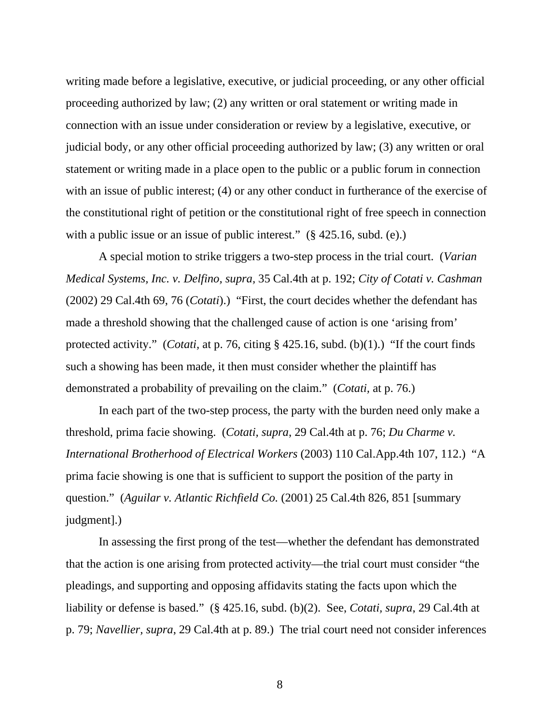writing made before a legislative, executive, or judicial proceeding, or any other official proceeding authorized by law; (2) any written or oral statement or writing made in connection with an issue under consideration or review by a legislative, executive, or judicial body, or any other official proceeding authorized by law; (3) any written or oral statement or writing made in a place open to the public or a public forum in connection with an issue of public interest; (4) or any other conduct in furtherance of the exercise of the constitutional right of petition or the constitutional right of free speech in connection with a public issue or an issue of public interest." (§ 425.16, subd. (e).)

 A special motion to strike triggers a two-step process in the trial court. (*Varian Medical Systems, Inc. v. Delfino, supra,* 35 Cal.4th at p. 192; *City of Cotati v. Cashman* (2002) 29 Cal.4th 69, 76 (*Cotati*).) "First, the court decides whether the defendant has made a threshold showing that the challenged cause of action is one 'arising from' protected activity." (*Cotati,* at p. 76, citing § 425.16, subd. (b)(1).) "If the court finds such a showing has been made, it then must consider whether the plaintiff has demonstrated a probability of prevailing on the claim." (*Cotati,* at p. 76.)

 In each part of the two-step process, the party with the burden need only make a threshold, prima facie showing. (*Cotati, supra*, 29 Cal.4th at p. 76; *Du Charme v. International Brotherhood of Electrical Workers* (2003) 110 Cal.App.4th 107, 112.) "A prima facie showing is one that is sufficient to support the position of the party in question." (*Aguilar v. Atlantic Richfield Co.* (2001) 25 Cal.4th 826, 851 [summary judgment].)

 In assessing the first prong of the test—whether the defendant has demonstrated that the action is one arising from protected activity—the trial court must consider "the pleadings, and supporting and opposing affidavits stating the facts upon which the liability or defense is based." (§ 425.16, subd. (b)(2). See, *Cotati, supra*, 29 Cal.4th at p. 79; *Navellier, supra*, 29 Cal.4th at p. 89.) The trial court need not consider inferences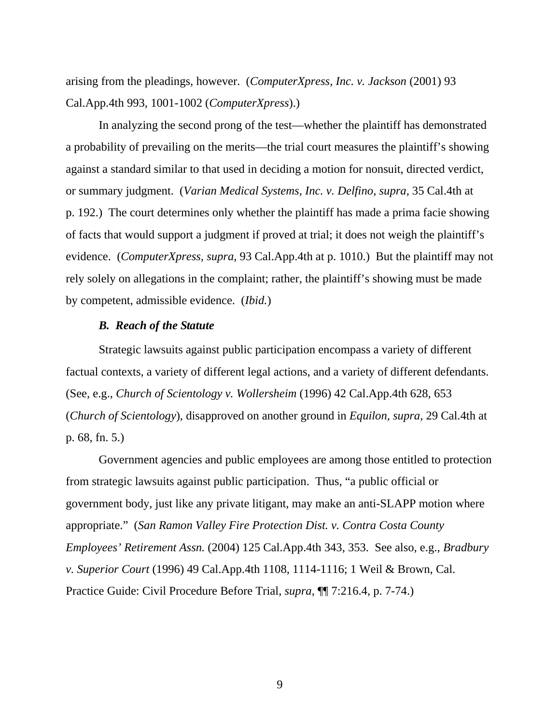arising from the pleadings, however. (*ComputerXpress, Inc. v. Jackson* (2001) 93 Cal.App.4th 993, 1001-1002 (*ComputerXpress*).)

 In analyzing the second prong of the test—whether the plaintiff has demonstrated a probability of prevailing on the merits—the trial court measures the plaintiff's showing against a standard similar to that used in deciding a motion for nonsuit, directed verdict, or summary judgment. (*Varian Medical Systems, Inc. v. Delfino, supra,* 35 Cal.4th at p. 192.) The court determines only whether the plaintiff has made a prima facie showing of facts that would support a judgment if proved at trial; it does not weigh the plaintiff's evidence. (*ComputerXpress, supra*, 93 Cal.App.4th at p. 1010.) But the plaintiff may not rely solely on allegations in the complaint; rather, the plaintiff's showing must be made by competent, admissible evidence. (*Ibid.*)

#### *B. Reach of the Statute*

 Strategic lawsuits against public participation encompass a variety of different factual contexts, a variety of different legal actions, and a variety of different defendants. (See, e.g., *Church of Scientology v. Wollersheim* (1996) 42 Cal.App.4th 628, 653 (*Church of Scientology*), disapproved on another ground in *Equilon, supra*, 29 Cal.4th at p. 68, fn. 5.)

 Government agencies and public employees are among those entitled to protection from strategic lawsuits against public participation. Thus, "a public official or government body, just like any private litigant, may make an anti-SLAPP motion where appropriate." (*San Ramon Valley Fire Protection Dist. v. Contra Costa County Employees' Retirement Assn.* (2004) 125 Cal.App.4th 343, 353. See also, e.g., *Bradbury v. Superior Court* (1996) 49 Cal.App.4th 1108, 1114-1116; 1 Weil & Brown, Cal. Practice Guide: Civil Procedure Before Trial, *supra*, ¶¶ 7:216.4, p. 7-74.)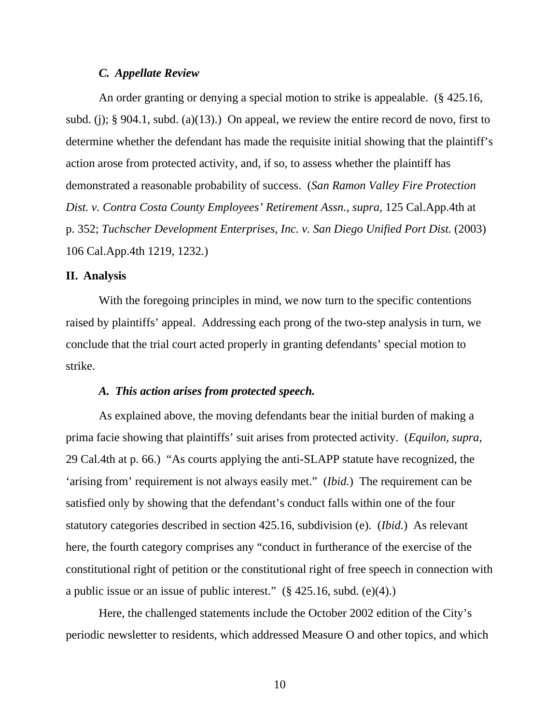## *C. Appellate Review*

 An order granting or denying a special motion to strike is appealable. (§ 425.16, subd. (j);  $\S 904.1$ , subd. (a)(13).) On appeal, we review the entire record de novo, first to determine whether the defendant has made the requisite initial showing that the plaintiff's action arose from protected activity, and, if so, to assess whether the plaintiff has demonstrated a reasonable probability of success. (*San Ramon Valley Fire Protection Dist. v. Contra Costa County Employees' Retirement Assn., supra,* 125 Cal.App.4th at p. 352; *Tuchscher Development Enterprises, Inc. v. San Diego Unified Port Dist.* (2003) 106 Cal.App.4th 1219, 1232.)

#### **II. Analysis**

 With the foregoing principles in mind, we now turn to the specific contentions raised by plaintiffs' appeal. Addressing each prong of the two-step analysis in turn, we conclude that the trial court acted properly in granting defendants' special motion to strike.

#### *A. This action arises from protected speech.*

 As explained above, the moving defendants bear the initial burden of making a prima facie showing that plaintiffs' suit arises from protected activity. (*Equilon, supra*, 29 Cal.4th at p. 66.) "As courts applying the anti-SLAPP statute have recognized, the 'arising from' requirement is not always easily met." (*Ibid.*) The requirement can be satisfied only by showing that the defendant's conduct falls within one of the four statutory categories described in section 425.16, subdivision (e). (*Ibid.*) As relevant here, the fourth category comprises any "conduct in furtherance of the exercise of the constitutional right of petition or the constitutional right of free speech in connection with a public issue or an issue of public interest." (§ 425.16, subd. (e)(4).)

 Here, the challenged statements include the October 2002 edition of the City's periodic newsletter to residents, which addressed Measure O and other topics, and which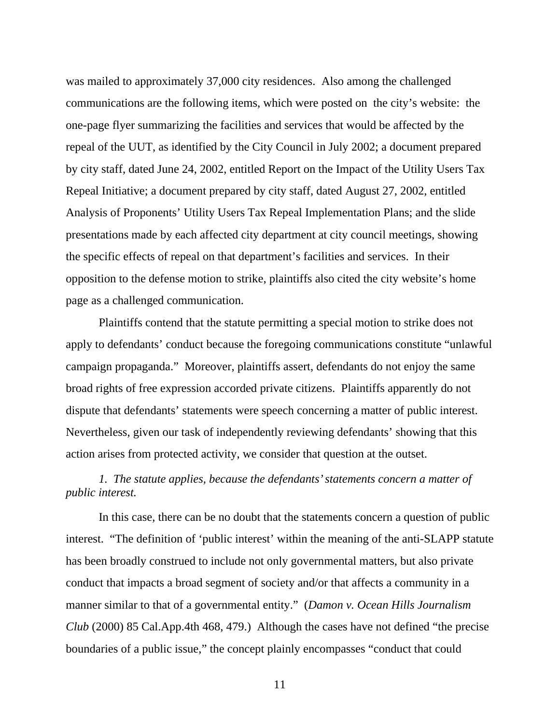was mailed to approximately 37,000 city residences. Also among the challenged communications are the following items, which were posted on the city's website: the one-page flyer summarizing the facilities and services that would be affected by the repeal of the UUT, as identified by the City Council in July 2002; a document prepared by city staff, dated June 24, 2002, entitled Report on the Impact of the Utility Users Tax Repeal Initiative; a document prepared by city staff, dated August 27, 2002, entitled Analysis of Proponents' Utility Users Tax Repeal Implementation Plans; and the slide presentations made by each affected city department at city council meetings, showing the specific effects of repeal on that department's facilities and services. In their opposition to the defense motion to strike, plaintiffs also cited the city website's home page as a challenged communication.

 Plaintiffs contend that the statute permitting a special motion to strike does not apply to defendants' conduct because the foregoing communications constitute "unlawful campaign propaganda." Moreover, plaintiffs assert, defendants do not enjoy the same broad rights of free expression accorded private citizens. Plaintiffs apparently do not dispute that defendants' statements were speech concerning a matter of public interest. Nevertheless, given our task of independently reviewing defendants' showing that this action arises from protected activity, we consider that question at the outset.

# *1. The statute applies, because the defendants' statements concern a matter of public interest.*

 In this case, there can be no doubt that the statements concern a question of public interest. "The definition of 'public interest' within the meaning of the anti-SLAPP statute has been broadly construed to include not only governmental matters, but also private conduct that impacts a broad segment of society and/or that affects a community in a manner similar to that of a governmental entity." (*Damon v. Ocean Hills Journalism Club* (2000) 85 Cal.App.4th 468, 479.) Although the cases have not defined "the precise boundaries of a public issue," the concept plainly encompasses "conduct that could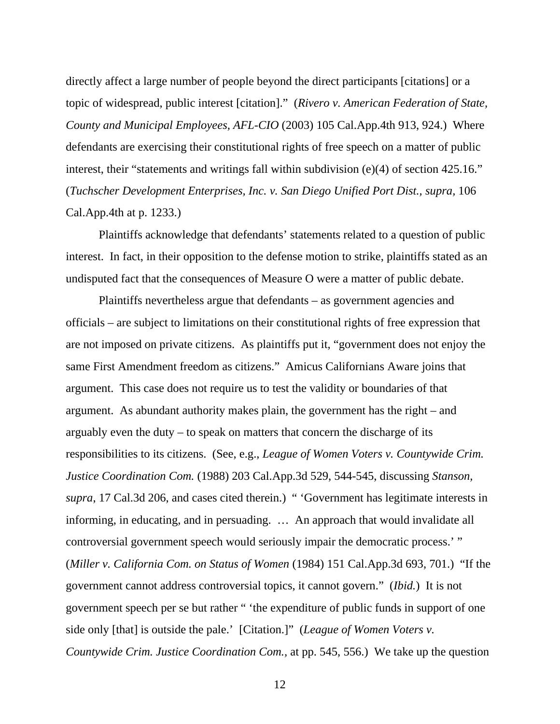directly affect a large number of people beyond the direct participants [citations] or a topic of widespread, public interest [citation]." (*Rivero v. American Federation of State, County and Municipal Employees, AFL-CIO* (2003) 105 Cal.App.4th 913, 924.) Where defendants are exercising their constitutional rights of free speech on a matter of public interest, their "statements and writings fall within subdivision (e)(4) of section 425.16." (*Tuchscher Development Enterprises, Inc. v. San Diego Unified Port Dist., supra,* 106 Cal.App.4th at p. 1233.)

 Plaintiffs acknowledge that defendants' statements related to a question of public interest. In fact, in their opposition to the defense motion to strike, plaintiffs stated as an undisputed fact that the consequences of Measure O were a matter of public debate.

 Plaintiffs nevertheless argue that defendants – as government agencies and officials – are subject to limitations on their constitutional rights of free expression that are not imposed on private citizens. As plaintiffs put it, "government does not enjoy the same First Amendment freedom as citizens." Amicus Californians Aware joins that argument. This case does not require us to test the validity or boundaries of that argument. As abundant authority makes plain, the government has the right – and arguably even the duty – to speak on matters that concern the discharge of its responsibilities to its citizens. (See, e.g., *League of Women Voters v. Countywide Crim. Justice Coordination Com.* (1988) 203 Cal.App.3d 529, 544-545, discussing *Stanson, supra*, 17 Cal.3d 206, and cases cited therein.) " 'Government has legitimate interests in informing, in educating, and in persuading. … An approach that would invalidate all controversial government speech would seriously impair the democratic process.' " (*Miller v. California Com. on Status of Women* (1984) 151 Cal.App.3d 693, 701.) "If the government cannot address controversial topics, it cannot govern." (*Ibid.*) It is not government speech per se but rather " 'the expenditure of public funds in support of one side only [that] is outside the pale.' [Citation.]" (*League of Women Voters v. Countywide Crim. Justice Coordination Com.,* at pp. 545, 556.) We take up the question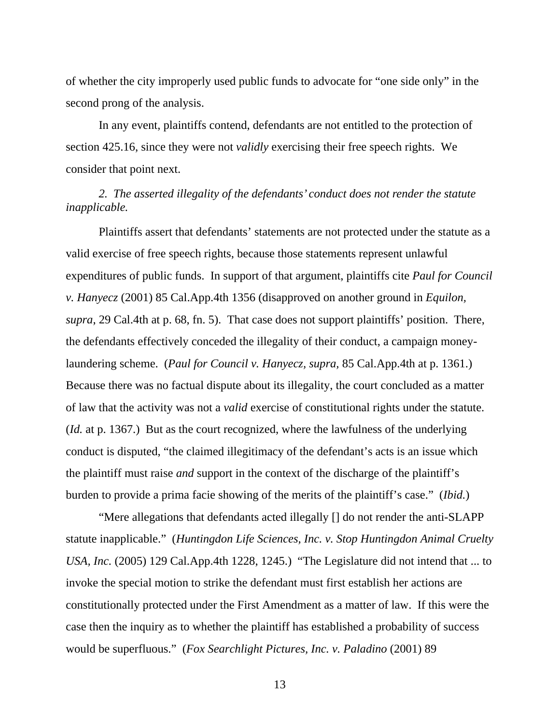of whether the city improperly used public funds to advocate for "one side only" in the second prong of the analysis.

 In any event, plaintiffs contend, defendants are not entitled to the protection of section 425.16, since they were not *validly* exercising their free speech rights. We consider that point next.

# *2. The asserted illegality of the defendants' conduct does not render the statute inapplicable.*

 Plaintiffs assert that defendants' statements are not protected under the statute as a valid exercise of free speech rights, because those statements represent unlawful expenditures of public funds. In support of that argument, plaintiffs cite *Paul for Council v. Hanyecz* (2001) 85 Cal.App.4th 1356 (disapproved on another ground in *Equilon, supra*, 29 Cal.4th at p. 68, fn. 5). That case does not support plaintiffs' position. There, the defendants effectively conceded the illegality of their conduct, a campaign moneylaundering scheme. (*Paul for Council v. Hanyecz, supra,* 85 Cal.App.4th at p. 1361.) Because there was no factual dispute about its illegality, the court concluded as a matter of law that the activity was not a *valid* exercise of constitutional rights under the statute. (*Id.* at p. 1367.) But as the court recognized, where the lawfulness of the underlying conduct is disputed, "the claimed illegitimacy of the defendant's acts is an issue which the plaintiff must raise *and* support in the context of the discharge of the plaintiff's burden to provide a prima facie showing of the merits of the plaintiff's case." (*Ibid.*)

 "Mere allegations that defendants acted illegally [] do not render the anti-SLAPP statute inapplicable." (*Huntingdon Life Sciences, Inc. v. Stop Huntingdon Animal Cruelty USA, Inc.* (2005) 129 Cal.App.4th 1228, 1245.) "The Legislature did not intend that ... to invoke the special motion to strike the defendant must first establish her actions are constitutionally protected under the First Amendment as a matter of law. If this were the case then the inquiry as to whether the plaintiff has established a probability of success would be superfluous." (*Fox Searchlight Pictures, Inc. v. Paladino* (2001) 89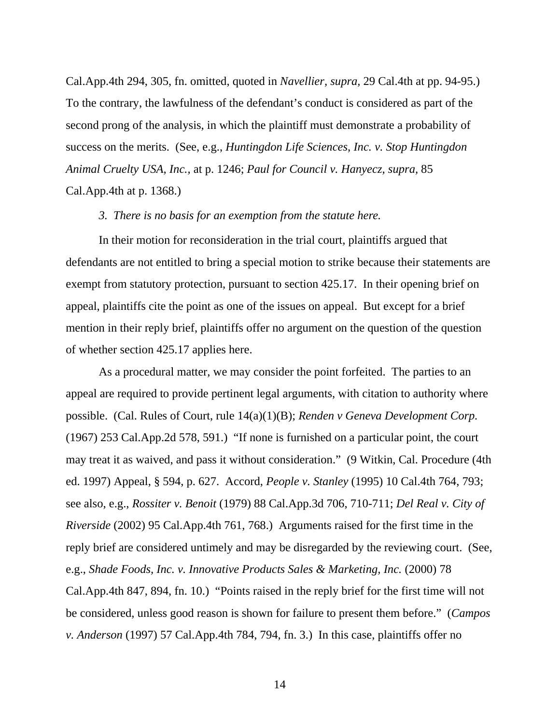Cal.App.4th 294, 305, fn. omitted, quoted in *Navellier, supra,* 29 Cal.4th at pp. 94-95.) To the contrary, the lawfulness of the defendant's conduct is considered as part of the second prong of the analysis, in which the plaintiff must demonstrate a probability of success on the merits. (See, e.g., *Huntingdon Life Sciences, Inc. v. Stop Huntingdon Animal Cruelty USA, Inc.,* at p. 1246; *Paul for Council v. Hanyecz, supra,* 85 Cal.App.4th at p. 1368.)

#### *3. There is no basis for an exemption from the statute here.*

 In their motion for reconsideration in the trial court, plaintiffs argued that defendants are not entitled to bring a special motion to strike because their statements are exempt from statutory protection, pursuant to section 425.17. In their opening brief on appeal, plaintiffs cite the point as one of the issues on appeal. But except for a brief mention in their reply brief, plaintiffs offer no argument on the question of the question of whether section 425.17 applies here.

 As a procedural matter, we may consider the point forfeited. The parties to an appeal are required to provide pertinent legal arguments, with citation to authority where possible. (Cal. Rules of Court, rule 14(a)(1)(B); *Renden v Geneva Development Corp.* (1967) 253 Cal.App.2d 578, 591.) "If none is furnished on a particular point, the court may treat it as waived, and pass it without consideration." (9 Witkin, Cal. Procedure (4th ed. 1997) Appeal, § 594, p. 627. Accord, *People v. Stanley* (1995) 10 Cal.4th 764, 793; see also, e.g., *Rossiter v. Benoit* (1979) 88 Cal.App.3d 706, 710-711; *Del Real v. City of Riverside* (2002) 95 Cal.App.4th 761, 768.) Arguments raised for the first time in the reply brief are considered untimely and may be disregarded by the reviewing court. (See, e.g., *Shade Foods, Inc. v. Innovative Products Sales & Marketing, Inc.* (2000) 78 Cal.App.4th 847, 894, fn. 10.) "Points raised in the reply brief for the first time will not be considered, unless good reason is shown for failure to present them before." (*Campos v. Anderson* (1997) 57 Cal.App.4th 784, 794, fn. 3.) In this case, plaintiffs offer no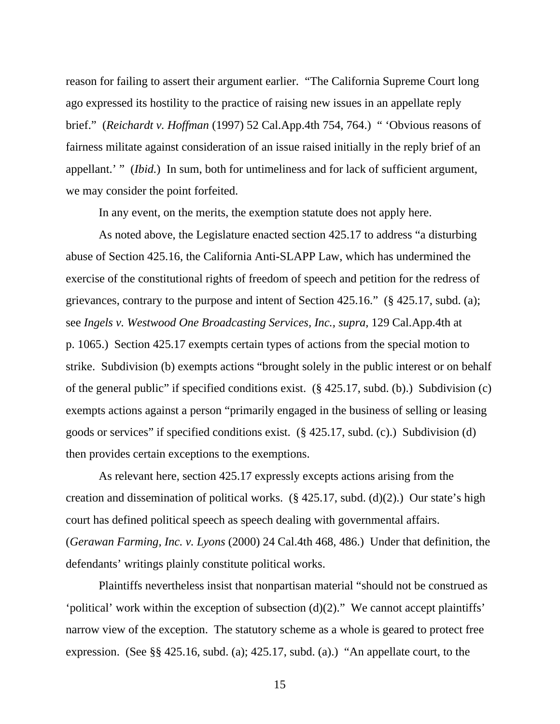reason for failing to assert their argument earlier. "The California Supreme Court long ago expressed its hostility to the practice of raising new issues in an appellate reply brief." (*Reichardt v. Hoffman* (1997) 52 Cal.App.4th 754, 764.) " 'Obvious reasons of fairness militate against consideration of an issue raised initially in the reply brief of an appellant.' " *(Ibid.)* In sum, both for untimeliness and for lack of sufficient argument, we may consider the point forfeited.

In any event, on the merits, the exemption statute does not apply here.

 As noted above, the Legislature enacted section 425.17 to address "a disturbing abuse of Section 425.16, the California Anti-SLAPP Law, which has undermined the exercise of the constitutional rights of freedom of speech and petition for the redress of grievances, contrary to the purpose and intent of Section 425.16." (§ 425.17, subd. (a); see *Ingels v. Westwood One Broadcasting Services, Inc., supra,* 129 Cal.App.4th at p. 1065.) Section 425.17 exempts certain types of actions from the special motion to strike. Subdivision (b) exempts actions "brought solely in the public interest or on behalf of the general public" if specified conditions exist. (§ 425.17, subd. (b).) Subdivision (c) exempts actions against a person "primarily engaged in the business of selling or leasing goods or services" if specified conditions exist. (§ 425.17, subd. (c).) Subdivision (d) then provides certain exceptions to the exemptions.

 As relevant here, section 425.17 expressly excepts actions arising from the creation and dissemination of political works.  $(\S$  425.17, subd. (d)(2).) Our state's high court has defined political speech as speech dealing with governmental affairs. (*Gerawan Farming, Inc. v. Lyons* (2000) 24 Cal.4th 468, 486.) Under that definition, the defendants' writings plainly constitute political works.

 Plaintiffs nevertheless insist that nonpartisan material "should not be construed as 'political' work within the exception of subsection (d)(2)." We cannot accept plaintiffs' narrow view of the exception. The statutory scheme as a whole is geared to protect free expression. (See §§ 425.16, subd. (a); 425.17, subd. (a).) "An appellate court, to the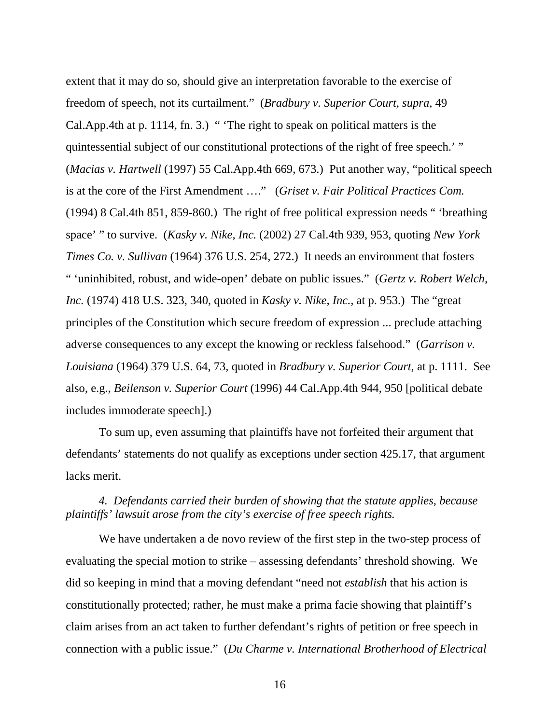extent that it may do so, should give an interpretation favorable to the exercise of freedom of speech, not its curtailment." (*Bradbury v. Superior Court, supra,* 49 Cal.App.4th at p. 1114, fn. 3.) " 'The right to speak on political matters is the quintessential subject of our constitutional protections of the right of free speech.' " (*Macias v. Hartwell* (1997) 55 Cal.App.4th 669, 673.) Put another way, "political speech is at the core of the First Amendment …." (*Griset v. Fair Political Practices Com.* (1994) 8 Cal.4th 851, 859-860.) The right of free political expression needs " 'breathing space' " to survive. (*Kasky v. Nike, Inc.* (2002) 27 Cal.4th 939, 953, quoting *New York Times Co. v. Sullivan* (1964) 376 U.S. 254, 272.) It needs an environment that fosters " 'uninhibited, robust, and wide-open' debate on public issues." (*Gertz v. Robert Welch, Inc.* (1974) 418 U.S. 323, 340, quoted in *Kasky v. Nike, Inc.,* at p. 953.) The "great principles of the Constitution which secure freedom of expression ... preclude attaching adverse consequences to any except the knowing or reckless falsehood." (*Garrison v. Louisiana* (1964) 379 U.S. 64, 73, quoted in *Bradbury v. Superior Court,* at p. 1111. See also, e.g., *Beilenson v. Superior Court* (1996) 44 Cal.App.4th 944, 950 [political debate includes immoderate speech].)

 To sum up, even assuming that plaintiffs have not forfeited their argument that defendants' statements do not qualify as exceptions under section 425.17, that argument lacks merit.

 *4. Defendants carried their burden of showing that the statute applies, because plaintiffs' lawsuit arose from the city's exercise of free speech rights.* 

 We have undertaken a de novo review of the first step in the two-step process of evaluating the special motion to strike – assessing defendants' threshold showing. We did so keeping in mind that a moving defendant "need not *establish* that his action is constitutionally protected; rather, he must make a prima facie showing that plaintiff's claim arises from an act taken to further defendant's rights of petition or free speech in connection with a public issue." (*Du Charme v. International Brotherhood of Electrical*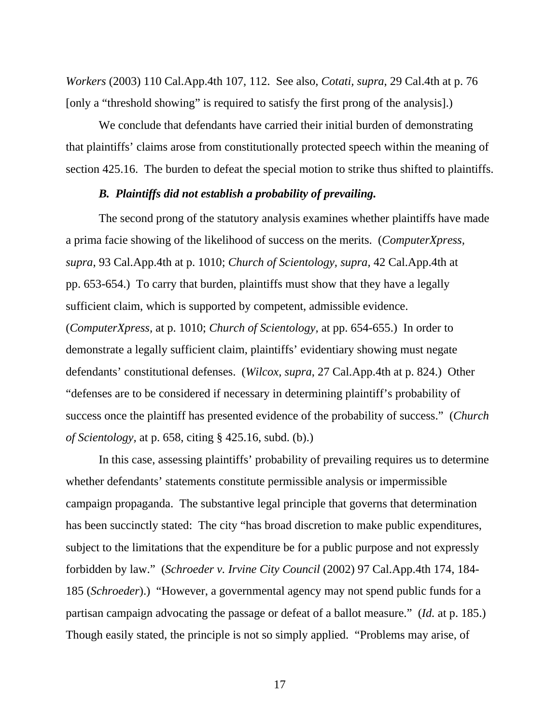*Workers* (2003) 110 Cal.App.4th 107, 112. See also, *Cotati, supra*, 29 Cal.4th at p. 76 [only a "threshold showing" is required to satisfy the first prong of the analysis].)

 We conclude that defendants have carried their initial burden of demonstrating that plaintiffs' claims arose from constitutionally protected speech within the meaning of section 425.16. The burden to defeat the special motion to strike thus shifted to plaintiffs.

# *B. Plaintiffs did not establish a probability of prevailing.*

 The second prong of the statutory analysis examines whether plaintiffs have made a prima facie showing of the likelihood of success on the merits. (*ComputerXpress, supra*, 93 Cal.App.4th at p. 1010; *Church of Scientology, supra,* 42 Cal.App.4th at pp. 653-654.) To carry that burden, plaintiffs must show that they have a legally sufficient claim, which is supported by competent, admissible evidence. (*ComputerXpress,* at p. 1010; *Church of Scientology,* at pp. 654-655.) In order to demonstrate a legally sufficient claim, plaintiffs' evidentiary showing must negate defendants' constitutional defenses. (*Wilcox, supra*, 27 Cal.App.4th at p. 824.) Other "defenses are to be considered if necessary in determining plaintiff's probability of success once the plaintiff has presented evidence of the probability of success." (*Church of Scientology,* at p. 658, citing § 425.16, subd. (b).)

 In this case, assessing plaintiffs' probability of prevailing requires us to determine whether defendants' statements constitute permissible analysis or impermissible campaign propaganda. The substantive legal principle that governs that determination has been succinctly stated: The city "has broad discretion to make public expenditures, subject to the limitations that the expenditure be for a public purpose and not expressly forbidden by law." (*Schroeder v. Irvine City Council* (2002) 97 Cal.App.4th 174, 184- 185 (*Schroeder*).) "However, a governmental agency may not spend public funds for a partisan campaign advocating the passage or defeat of a ballot measure." (*Id.* at p. 185.) Though easily stated, the principle is not so simply applied. "Problems may arise, of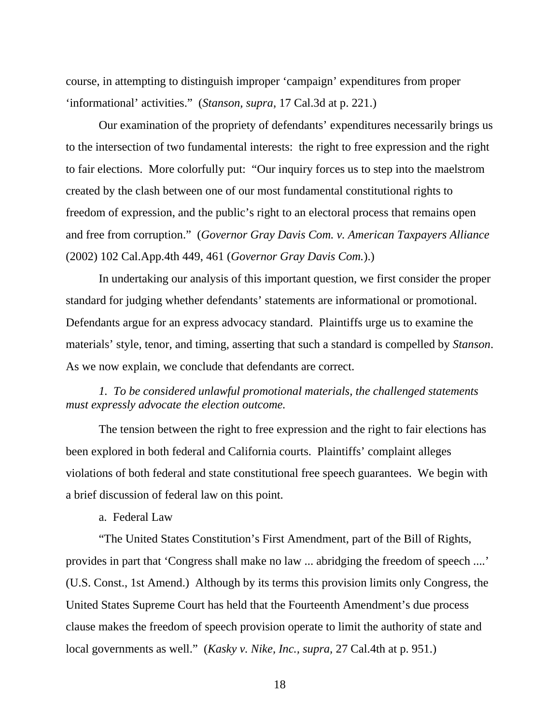course, in attempting to distinguish improper 'campaign' expenditures from proper 'informational' activities." (*Stanson, supra*, 17 Cal.3d at p. 221.)

 Our examination of the propriety of defendants' expenditures necessarily brings us to the intersection of two fundamental interests: the right to free expression and the right to fair elections. More colorfully put: "Our inquiry forces us to step into the maelstrom created by the clash between one of our most fundamental constitutional rights to freedom of expression, and the public's right to an electoral process that remains open and free from corruption." (*Governor Gray Davis Com. v. American Taxpayers Alliance* (2002) 102 Cal.App.4th 449, 461 (*Governor Gray Davis Com.*).)

 In undertaking our analysis of this important question, we first consider the proper standard for judging whether defendants' statements are informational or promotional. Defendants argue for an express advocacy standard. Plaintiffs urge us to examine the materials' style, tenor, and timing, asserting that such a standard is compelled by *Stanson*. As we now explain, we conclude that defendants are correct.

 *1. To be considered unlawful promotional materials, the challenged statements must expressly advocate the election outcome.* 

 The tension between the right to free expression and the right to fair elections has been explored in both federal and California courts. Plaintiffs' complaint alleges violations of both federal and state constitutional free speech guarantees. We begin with a brief discussion of federal law on this point.

a. Federal Law

 "The United States Constitution's First Amendment, part of the Bill of Rights, provides in part that 'Congress shall make no law ... abridging the freedom of speech ....' (U.S. Const., 1st Amend.) Although by its terms this provision limits only Congress, the United States Supreme Court has held that the Fourteenth Amendment's due process clause makes the freedom of speech provision operate to limit the authority of state and local governments as well." (*Kasky v. Nike, Inc., supra,* 27 Cal.4th at p. 951.)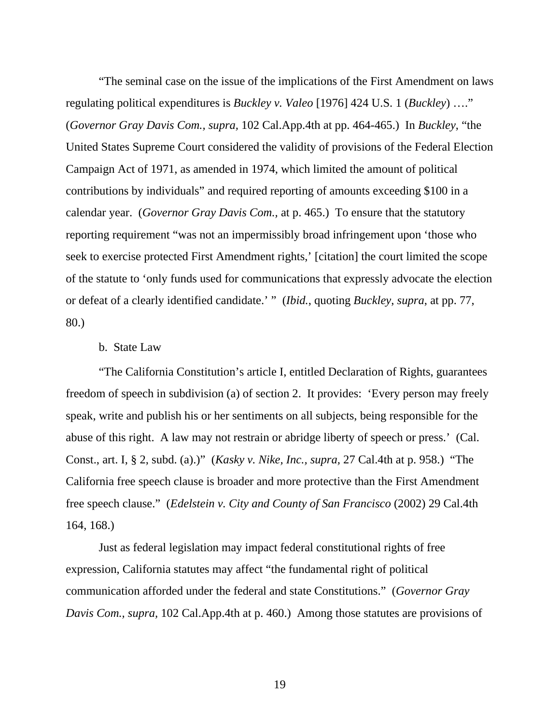"The seminal case on the issue of the implications of the First Amendment on laws regulating political expenditures is *Buckley v. Valeo* [1976] 424 U.S. 1 (*Buckley*) …." (*Governor Gray Davis Com., supra,* 102 Cal.App.4th at pp. 464-465.) In *Buckley*, "the United States Supreme Court considered the validity of provisions of the Federal Election Campaign Act of 1971, as amended in 1974, which limited the amount of political contributions by individuals" and required reporting of amounts exceeding \$100 in a calendar year. (*Governor Gray Davis Com.,* at p. 465.) To ensure that the statutory reporting requirement "was not an impermissibly broad infringement upon 'those who seek to exercise protected First Amendment rights,' [citation] the court limited the scope of the statute to 'only funds used for communications that expressly advocate the election or defeat of a clearly identified candidate.' " (*Ibid.*, quoting *Buckley*, *supra*, at pp. 77, 80.)

# b. State Law

 "The California Constitution's article I, entitled Declaration of Rights, guarantees freedom of speech in subdivision (a) of section 2. It provides: 'Every person may freely speak, write and publish his or her sentiments on all subjects, being responsible for the abuse of this right. A law may not restrain or abridge liberty of speech or press.' (Cal. Const., art. I, § 2, subd. (a).)" (*Kasky v. Nike, Inc., supra,* 27 Cal.4th at p. 958.) "The California free speech clause is broader and more protective than the First Amendment free speech clause." (*Edelstein v. City and County of San Francisco* (2002) 29 Cal.4th 164, 168.)

 Just as federal legislation may impact federal constitutional rights of free expression, California statutes may affect "the fundamental right of political communication afforded under the federal and state Constitutions." (*Governor Gray Davis Com., supra,* 102 Cal.App.4th at p. 460.) Among those statutes are provisions of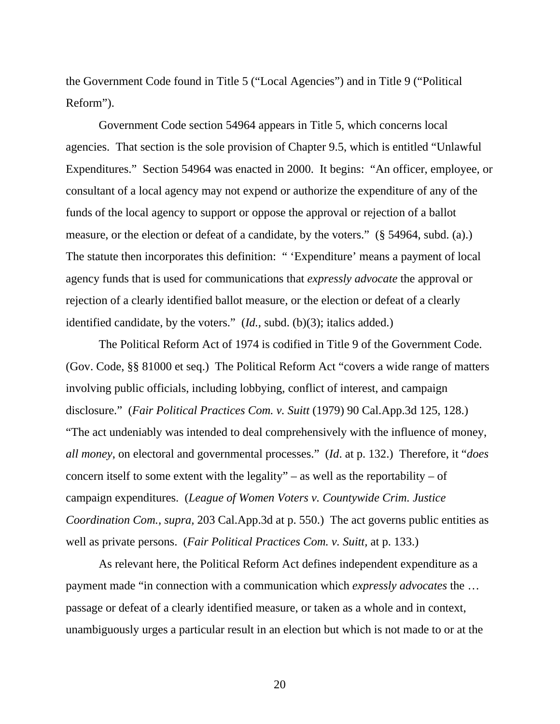the Government Code found in Title 5 ("Local Agencies") and in Title 9 ("Political Reform").

 Government Code section 54964 appears in Title 5, which concerns local agencies. That section is the sole provision of Chapter 9.5, which is entitled "Unlawful Expenditures." Section 54964 was enacted in 2000. It begins: "An officer, employee, or consultant of a local agency may not expend or authorize the expenditure of any of the funds of the local agency to support or oppose the approval or rejection of a ballot measure, or the election or defeat of a candidate, by the voters." (§ 54964, subd. (a).) The statute then incorporates this definition: " 'Expenditure' means a payment of local agency funds that is used for communications that *expressly advocate* the approval or rejection of a clearly identified ballot measure, or the election or defeat of a clearly identified candidate, by the voters." (*Id.,* subd. (b)(3); italics added.)

 The Political Reform Act of 1974 is codified in Title 9 of the Government Code. (Gov. Code, §§ 81000 et seq.) The Political Reform Act "covers a wide range of matters involving public officials, including lobbying, conflict of interest, and campaign disclosure." (*Fair Political Practices Com. v. Suitt* (1979) 90 Cal.App.3d 125, 128.) "The act undeniably was intended to deal comprehensively with the influence of money, *all money*, on electoral and governmental processes." (*Id*. at p. 132.) Therefore, it "*does* concern itself to some extent with the legality" – as well as the reportability – of campaign expenditures. (*League of Women Voters v. Countywide Crim. Justice Coordination Com., supra,* 203 Cal.App.3d at p. 550.) The act governs public entities as well as private persons. (*Fair Political Practices Com. v. Suitt,* at p. 133.)

 As relevant here, the Political Reform Act defines independent expenditure as a payment made "in connection with a communication which *expressly advocates* the … passage or defeat of a clearly identified measure, or taken as a whole and in context, unambiguously urges a particular result in an election but which is not made to or at the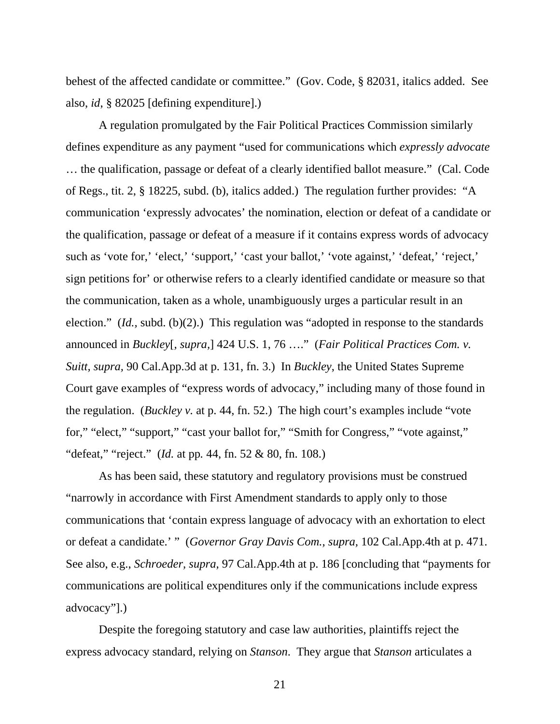behest of the affected candidate or committee." (Gov. Code, § 82031, italics added. See also, *id*, § 82025 [defining expenditure].)

 A regulation promulgated by the Fair Political Practices Commission similarly defines expenditure as any payment "used for communications which *expressly advocate* … the qualification, passage or defeat of a clearly identified ballot measure." (Cal. Code of Regs., tit. 2, § 18225, subd. (b), italics added.) The regulation further provides: "A communication 'expressly advocates' the nomination, election or defeat of a candidate or the qualification, passage or defeat of a measure if it contains express words of advocacy such as 'vote for,' 'elect,' 'support,' 'cast your ballot,' 'vote against,' 'defeat,' 'reject,' sign petitions for' or otherwise refers to a clearly identified candidate or measure so that the communication, taken as a whole, unambiguously urges a particular result in an election." (*Id.,* subd. (b)(2).) This regulation was "adopted in response to the standards announced in *Buckley*[*, supra,*] 424 U.S. 1, 76 …." (*Fair Political Practices Com. v. Suitt, supra,* 90 Cal.App.3d at p. 131, fn. 3.) In *Buckley*, the United States Supreme Court gave examples of "express words of advocacy," including many of those found in the regulation. (*Buckley v.* at p. 44, fn. 52.) The high court's examples include "vote for," "elect," "support," "cast your ballot for," "Smith for Congress," "vote against," "defeat," "reject." (*Id.* at pp*.* 44, fn. 52 & 80, fn. 108.)

 As has been said, these statutory and regulatory provisions must be construed "narrowly in accordance with First Amendment standards to apply only to those communications that 'contain express language of advocacy with an exhortation to elect or defeat a candidate.' " (*Governor Gray Davis Com., supra,* 102 Cal.App.4th at p. 471. See also, e.g., *Schroeder, supra,* 97 Cal.App.4th at p. 186 [concluding that "payments for communications are political expenditures only if the communications include express advocacy"].)

 Despite the foregoing statutory and case law authorities, plaintiffs reject the express advocacy standard, relying on *Stanson*. They argue that *Stanson* articulates a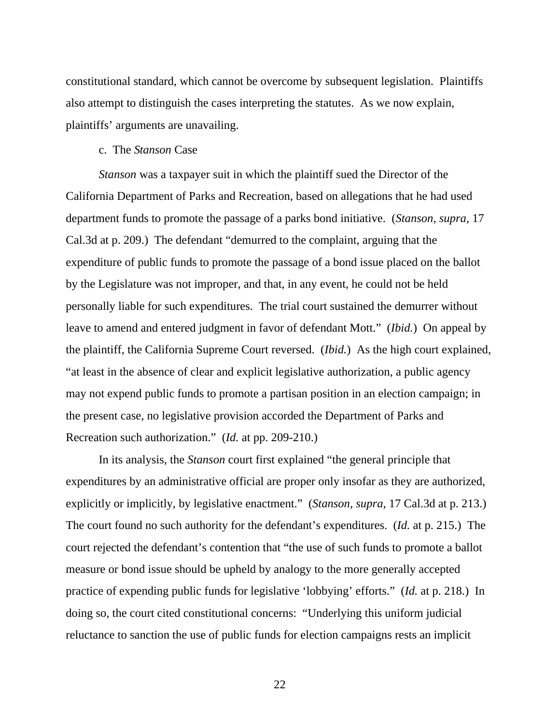constitutional standard, which cannot be overcome by subsequent legislation. Plaintiffs also attempt to distinguish the cases interpreting the statutes. As we now explain, plaintiffs' arguments are unavailing.

#### c. The *Stanson* Case

 *Stanson* was a taxpayer suit in which the plaintiff sued the Director of the California Department of Parks and Recreation, based on allegations that he had used department funds to promote the passage of a parks bond initiative. (*Stanson, supra*, 17 Cal.3d at p. 209.) The defendant "demurred to the complaint, arguing that the expenditure of public funds to promote the passage of a bond issue placed on the ballot by the Legislature was not improper, and that, in any event, he could not be held personally liable for such expenditures. The trial court sustained the demurrer without leave to amend and entered judgment in favor of defendant Mott." (*Ibid.*) On appeal by the plaintiff, the California Supreme Court reversed. (*Ibid.*) As the high court explained, "at least in the absence of clear and explicit legislative authorization, a public agency may not expend public funds to promote a partisan position in an election campaign; in the present case, no legislative provision accorded the Department of Parks and Recreation such authorization." (*Id.* at pp. 209-210.)

 In its analysis, the *Stanson* court first explained "the general principle that expenditures by an administrative official are proper only insofar as they are authorized, explicitly or implicitly, by legislative enactment." (*Stanson, supra*, 17 Cal.3d at p. 213.) The court found no such authority for the defendant's expenditures. (*Id.* at p. 215.) The court rejected the defendant's contention that "the use of such funds to promote a ballot measure or bond issue should be upheld by analogy to the more generally accepted practice of expending public funds for legislative 'lobbying' efforts." (*Id.* at p. 218.) In doing so, the court cited constitutional concerns: "Underlying this uniform judicial reluctance to sanction the use of public funds for election campaigns rests an implicit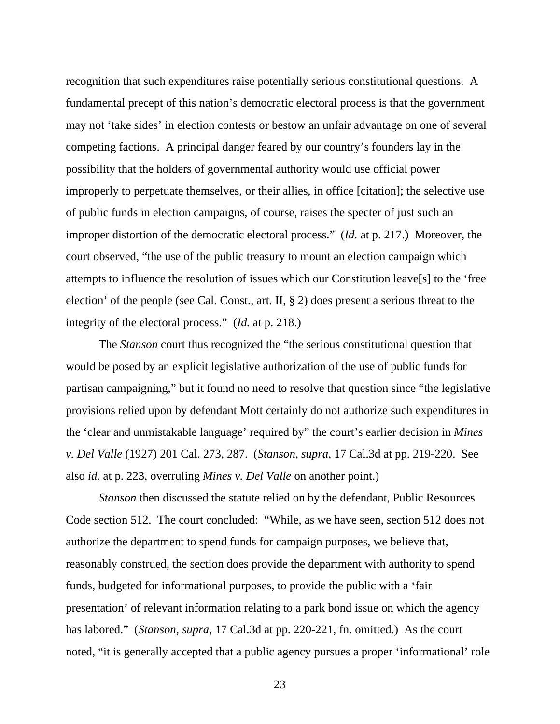recognition that such expenditures raise potentially serious constitutional questions. A fundamental precept of this nation's democratic electoral process is that the government may not 'take sides' in election contests or bestow an unfair advantage on one of several competing factions. A principal danger feared by our country's founders lay in the possibility that the holders of governmental authority would use official power improperly to perpetuate themselves, or their allies, in office [citation]; the selective use of public funds in election campaigns, of course, raises the specter of just such an improper distortion of the democratic electoral process." (*Id.* at p. 217.) Moreover, the court observed, "the use of the public treasury to mount an election campaign which attempts to influence the resolution of issues which our Constitution leave[s] to the 'free election' of the people (see Cal. Const., art. II, § 2) does present a serious threat to the integrity of the electoral process." (*Id.* at p. 218.)

 The *Stanson* court thus recognized the "the serious constitutional question that would be posed by an explicit legislative authorization of the use of public funds for partisan campaigning," but it found no need to resolve that question since "the legislative provisions relied upon by defendant Mott certainly do not authorize such expenditures in the 'clear and unmistakable language' required by" the court's earlier decision in *Mines v. Del Valle* (1927) 201 Cal. 273, 287. (*Stanson, supra*, 17 Cal.3d at pp. 219-220. See also *id.* at p. 223, overruling *Mines v. Del Valle* on another point.)

 *Stanson* then discussed the statute relied on by the defendant, Public Resources Code section 512. The court concluded: "While, as we have seen, section 512 does not authorize the department to spend funds for campaign purposes, we believe that, reasonably construed, the section does provide the department with authority to spend funds, budgeted for informational purposes, to provide the public with a 'fair presentation' of relevant information relating to a park bond issue on which the agency has labored." (*Stanson, supra*, 17 Cal.3d at pp. 220-221, fn. omitted.) As the court noted, "it is generally accepted that a public agency pursues a proper 'informational' role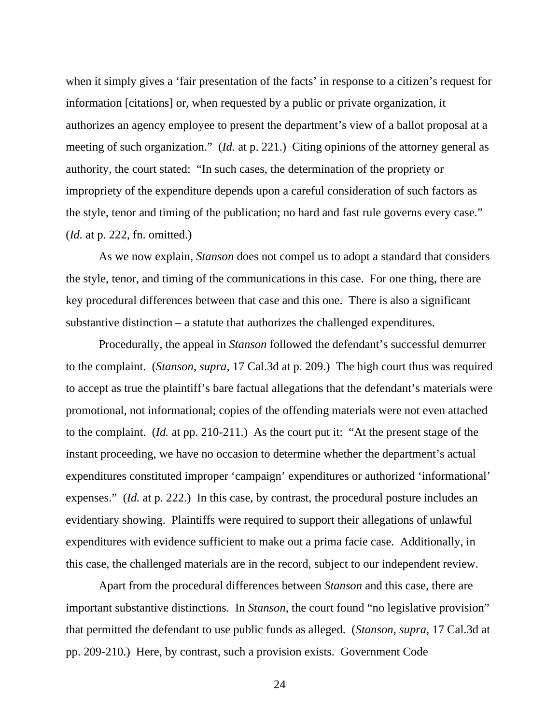when it simply gives a 'fair presentation of the facts' in response to a citizen's request for information [citations] or, when requested by a public or private organization, it authorizes an agency employee to present the department's view of a ballot proposal at a meeting of such organization." (*Id.* at p. 221.) Citing opinions of the attorney general as authority, the court stated: "In such cases, the determination of the propriety or impropriety of the expenditure depends upon a careful consideration of such factors as the style, tenor and timing of the publication; no hard and fast rule governs every case." (*Id.* at p. 222, fn. omitted.)

 As we now explain, *Stanson* does not compel us to adopt a standard that considers the style, tenor, and timing of the communications in this case. For one thing, there are key procedural differences between that case and this one. There is also a significant substantive distinction – a statute that authorizes the challenged expenditures.

 Procedurally, the appeal in *Stanson* followed the defendant's successful demurrer to the complaint. (*Stanson, supra*, 17 Cal.3d at p. 209.) The high court thus was required to accept as true the plaintiff's bare factual allegations that the defendant's materials were promotional, not informational; copies of the offending materials were not even attached to the complaint. (*Id.* at pp. 210-211.) As the court put it: "At the present stage of the instant proceeding, we have no occasion to determine whether the department's actual expenditures constituted improper 'campaign' expenditures or authorized 'informational' expenses." *(Id.* at p. 222.) In this case, by contrast, the procedural posture includes an evidentiary showing. Plaintiffs were required to support their allegations of unlawful expenditures with evidence sufficient to make out a prima facie case. Additionally, in this case, the challenged materials are in the record, subject to our independent review.

 Apart from the procedural differences between *Stanson* and this case, there are important substantive distinctions. In *Stanson*, the court found "no legislative provision" that permitted the defendant to use public funds as alleged. (*Stanson, supra*, 17 Cal.3d at pp. 209-210.) Here, by contrast, such a provision exists. Government Code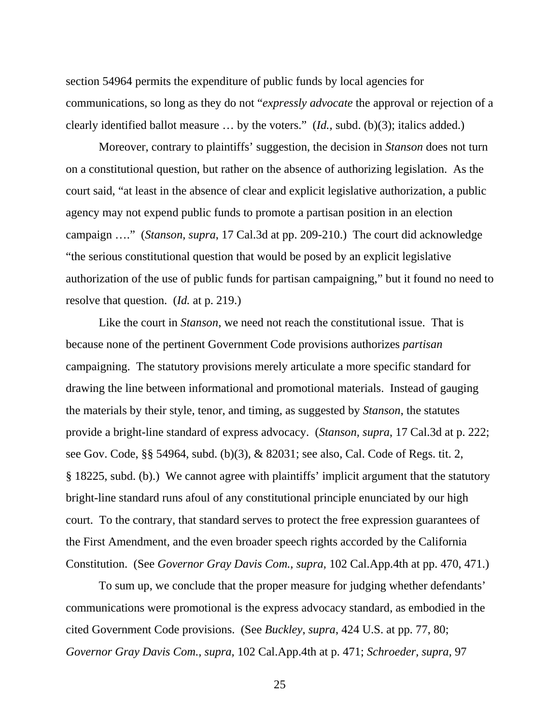section 54964 permits the expenditure of public funds by local agencies for communications, so long as they do not "*expressly advocate* the approval or rejection of a clearly identified ballot measure … by the voters." (*Id.,* subd. (b)(3); italics added.)

 Moreover, contrary to plaintiffs' suggestion, the decision in *Stanson* does not turn on a constitutional question, but rather on the absence of authorizing legislation. As the court said, "at least in the absence of clear and explicit legislative authorization, a public agency may not expend public funds to promote a partisan position in an election campaign …." (*Stanson, supra*, 17 Cal.3d at pp. 209-210.) The court did acknowledge "the serious constitutional question that would be posed by an explicit legislative authorization of the use of public funds for partisan campaigning," but it found no need to resolve that question. (*Id.* at p. 219.)

 Like the court in *Stanson*, we need not reach the constitutional issue. That is because none of the pertinent Government Code provisions authorizes *partisan* campaigning. The statutory provisions merely articulate a more specific standard for drawing the line between informational and promotional materials. Instead of gauging the materials by their style, tenor, and timing, as suggested by *Stanson*, the statutes provide a bright-line standard of express advocacy. (*Stanson, supra*, 17 Cal.3d at p. 222; see Gov. Code, §§ 54964, subd. (b)(3), & 82031; see also, Cal. Code of Regs. tit. 2, § 18225, subd. (b).) We cannot agree with plaintiffs' implicit argument that the statutory bright-line standard runs afoul of any constitutional principle enunciated by our high court. To the contrary, that standard serves to protect the free expression guarantees of the First Amendment, and the even broader speech rights accorded by the California Constitution. (See *Governor Gray Davis Com., supra,* 102 Cal.App.4th at pp. 470, 471.)

 To sum up, we conclude that the proper measure for judging whether defendants' communications were promotional is the express advocacy standard, as embodied in the cited Government Code provisions. (See *Buckley*, *supra*, 424 U.S. at pp. 77, 80; *Governor Gray Davis Com., supra,* 102 Cal.App.4th at p. 471; *Schroeder, supra,* 97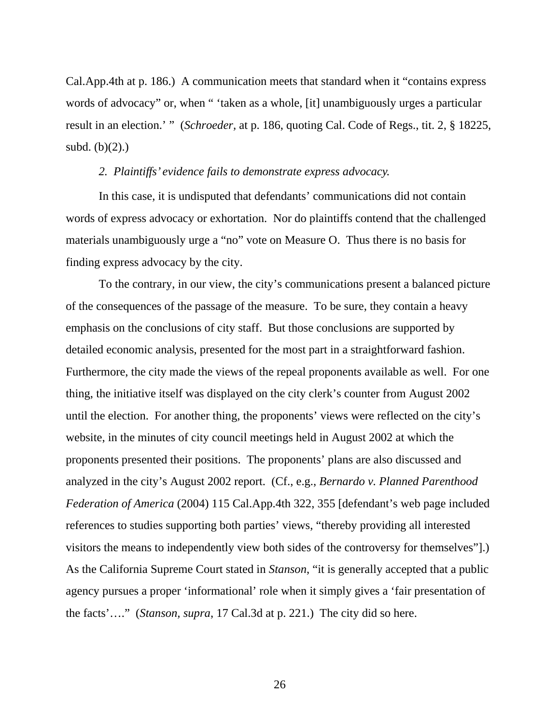Cal.App.4th at p. 186.) A communication meets that standard when it "contains express words of advocacy" or, when " 'taken as a whole, [it] unambiguously urges a particular result in an election.' " (*Schroeder,* at p. 186, quoting Cal. Code of Regs., tit. 2, § 18225, subd.  $(b)(2)$ .)

#### *2. Plaintiffs' evidence fails to demonstrate express advocacy.*

 In this case, it is undisputed that defendants' communications did not contain words of express advocacy or exhortation. Nor do plaintiffs contend that the challenged materials unambiguously urge a "no" vote on Measure O. Thus there is no basis for finding express advocacy by the city.

 To the contrary, in our view, the city's communications present a balanced picture of the consequences of the passage of the measure. To be sure, they contain a heavy emphasis on the conclusions of city staff. But those conclusions are supported by detailed economic analysis, presented for the most part in a straightforward fashion. Furthermore, the city made the views of the repeal proponents available as well. For one thing, the initiative itself was displayed on the city clerk's counter from August 2002 until the election. For another thing, the proponents' views were reflected on the city's website, in the minutes of city council meetings held in August 2002 at which the proponents presented their positions. The proponents' plans are also discussed and analyzed in the city's August 2002 report. (Cf., e.g., *Bernardo v. Planned Parenthood Federation of America* (2004) 115 Cal.App.4th 322, 355 [defendant's web page included references to studies supporting both parties' views, "thereby providing all interested visitors the means to independently view both sides of the controversy for themselves"].) As the California Supreme Court stated in *Stanson*, "it is generally accepted that a public agency pursues a proper 'informational' role when it simply gives a 'fair presentation of the facts'…." (*Stanson, supra*, 17 Cal.3d at p. 221.) The city did so here.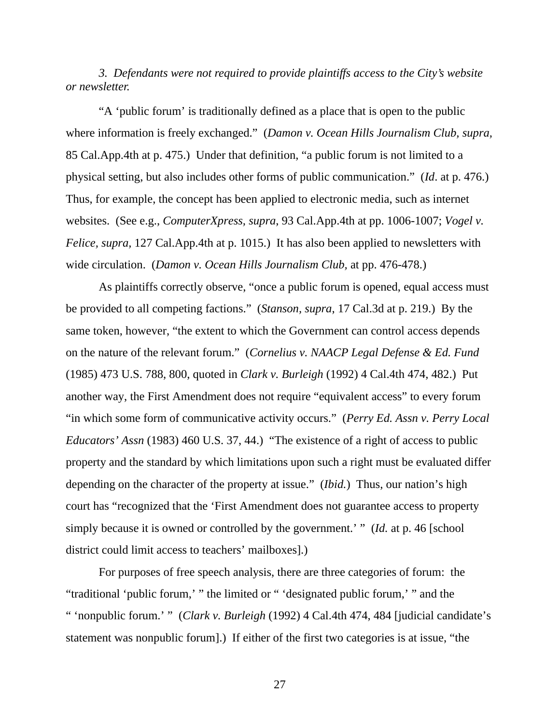*3. Defendants were not required to provide plaintiffs access to the City's website or newsletter.* 

 "A 'public forum' is traditionally defined as a place that is open to the public where information is freely exchanged." (*Damon v. Ocean Hills Journalism Club, supra,* 85 Cal.App.4th at p. 475.) Under that definition, "a public forum is not limited to a physical setting, but also includes other forms of public communication." (*Id*. at p. 476.) Thus, for example, the concept has been applied to electronic media, such as internet websites. (See e.g., *ComputerXpress, supra*, 93 Cal.App.4th at pp. 1006-1007; *Vogel v. Felice, supra,* 127 Cal.App.4th at p. 1015.) It has also been applied to newsletters with wide circulation. (*Damon v. Ocean Hills Journalism Club,* at pp. 476-478.)

 As plaintiffs correctly observe, "once a public forum is opened, equal access must be provided to all competing factions." (*Stanson, supra*, 17 Cal.3d at p. 219.) By the same token, however, "the extent to which the Government can control access depends on the nature of the relevant forum." (*Cornelius v. NAACP Legal Defense & Ed. Fund* (1985) 473 U.S. 788, 800, quoted in *Clark v. Burleigh* (1992) 4 Cal.4th 474, 482.) Put another way, the First Amendment does not require "equivalent access" to every forum "in which some form of communicative activity occurs." (*Perry Ed. Assn v. Perry Local Educators' Assn* (1983) 460 U.S. 37, 44.) "The existence of a right of access to public property and the standard by which limitations upon such a right must be evaluated differ depending on the character of the property at issue." (*Ibid.*) Thus, our nation's high court has "recognized that the 'First Amendment does not guarantee access to property simply because it is owned or controlled by the government.' " (*Id.* at p. 46 [school district could limit access to teachers' mailboxes].)

 For purposes of free speech analysis, there are three categories of forum: the "traditional 'public forum,' " the limited or " 'designated public forum,' " and the " 'nonpublic forum.' " (*Clark v. Burleigh* (1992) 4 Cal.4th 474, 484 [judicial candidate's statement was nonpublic forum].) If either of the first two categories is at issue, "the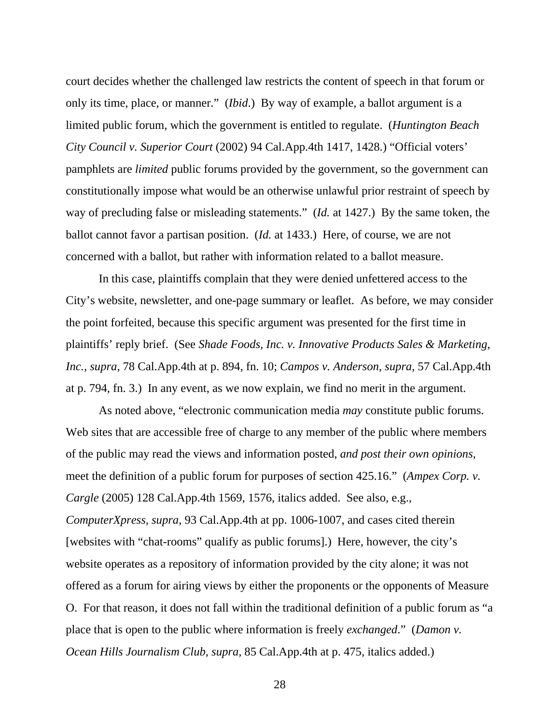court decides whether the challenged law restricts the content of speech in that forum or only its time, place, or manner." (*Ibid*.) By way of example, a ballot argument is a limited public forum, which the government is entitled to regulate. (*Huntington Beach City Council v. Superior Court* (2002) 94 Cal.App.4th 1417, 1428.) "Official voters' pamphlets are *limited* public forums provided by the government, so the government can constitutionally impose what would be an otherwise unlawful prior restraint of speech by way of precluding false or misleading statements." (*Id.* at 1427.) By the same token, the ballot cannot favor a partisan position. (*Id.* at 1433.) Here, of course, we are not concerned with a ballot, but rather with information related to a ballot measure.

 In this case, plaintiffs complain that they were denied unfettered access to the City's website, newsletter, and one-page summary or leaflet. As before, we may consider the point forfeited, because this specific argument was presented for the first time in plaintiffs' reply brief. (See *Shade Foods, Inc. v. Innovative Products Sales & Marketing, Inc., supra,* 78 Cal.App.4th at p. 894, fn. 10; *Campos v. Anderson, supra,* 57 Cal.App.4th at p. 794, fn. 3.) In any event, as we now explain, we find no merit in the argument.

 As noted above, "electronic communication media *may* constitute public forums. Web sites that are accessible free of charge to any member of the public where members of the public may read the views and information posted, *and post their own opinions*, meet the definition of a public forum for purposes of section 425.16." (*Ampex Corp. v. Cargle* (2005) 128 Cal.App.4th 1569, 1576, italics added. See also, e.g., *ComputerXpress, supra*, 93 Cal.App.4th at pp. 1006-1007, and cases cited therein [websites with "chat-rooms" qualify as public forums].) Here, however, the city's website operates as a repository of information provided by the city alone; it was not offered as a forum for airing views by either the proponents or the opponents of Measure O. For that reason, it does not fall within the traditional definition of a public forum as "a place that is open to the public where information is freely *exchanged*." (*Damon v. Ocean Hills Journalism Club, supra,* 85 Cal.App.4th at p. 475, italics added.)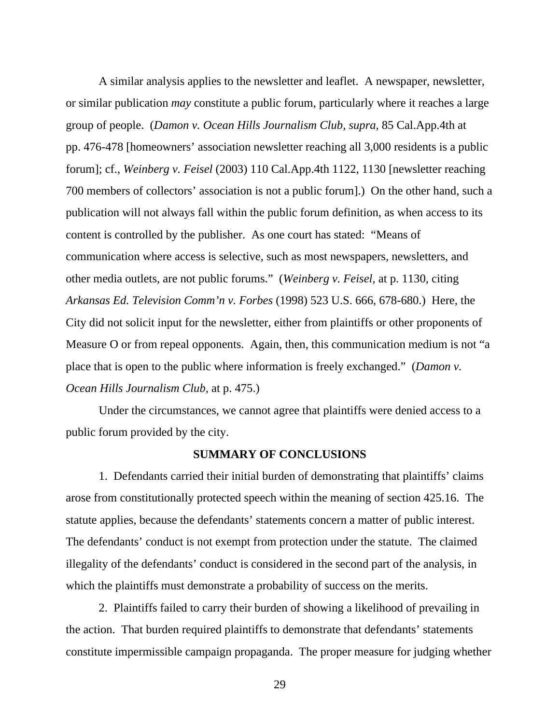A similar analysis applies to the newsletter and leaflet. A newspaper, newsletter, or similar publication *may* constitute a public forum, particularly where it reaches a large group of people. (*Damon v. Ocean Hills Journalism Club, supra,* 85 Cal.App.4th at pp. 476-478 [homeowners' association newsletter reaching all 3,000 residents is a public forum]; cf., *Weinberg v. Feisel* (2003) 110 Cal.App.4th 1122, 1130 [newsletter reaching 700 members of collectors' association is not a public forum].) On the other hand, such a publication will not always fall within the public forum definition, as when access to its content is controlled by the publisher. As one court has stated: "Means of communication where access is selective, such as most newspapers, newsletters, and other media outlets, are not public forums." (*Weinberg v. Feisel,* at p. 1130, citing *Arkansas Ed. Television Comm'n v. Forbes* (1998) 523 U.S. 666, 678-680.) Here, the City did not solicit input for the newsletter, either from plaintiffs or other proponents of Measure O or from repeal opponents. Again, then, this communication medium is not "a place that is open to the public where information is freely exchanged." (*Damon v. Ocean Hills Journalism Club,* at p. 475.)

 Under the circumstances, we cannot agree that plaintiffs were denied access to a public forum provided by the city.

### **SUMMARY OF CONCLUSIONS**

 1. Defendants carried their initial burden of demonstrating that plaintiffs' claims arose from constitutionally protected speech within the meaning of section 425.16. The statute applies, because the defendants' statements concern a matter of public interest. The defendants' conduct is not exempt from protection under the statute. The claimed illegality of the defendants' conduct is considered in the second part of the analysis, in which the plaintiffs must demonstrate a probability of success on the merits.

 2. Plaintiffs failed to carry their burden of showing a likelihood of prevailing in the action. That burden required plaintiffs to demonstrate that defendants' statements constitute impermissible campaign propaganda. The proper measure for judging whether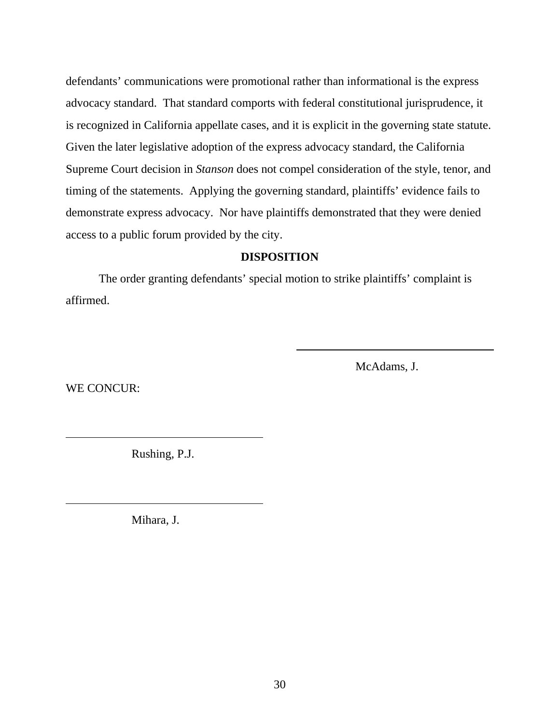defendants' communications were promotional rather than informational is the express advocacy standard.That standard comports with federal constitutional jurisprudence, it is recognized in California appellate cases, and it is explicit in the governing state statute. Given the later legislative adoption of the express advocacy standard, the California Supreme Court decision in *Stanson* does not compel consideration of the style, tenor, and timing of the statements. Applying the governing standard, plaintiffs' evidence fails to demonstrate express advocacy. Nor have plaintiffs demonstrated that they were denied access to a public forum provided by the city.

# **DISPOSITION**

 $\overline{\phantom{a}}$ 

 The order granting defendants' special motion to strike plaintiffs' complaint is affirmed.

McAdams, J.

WE CONCUR:

 $\overline{a}$ 

 $\overline{a}$ 

Rushing, P.J.

Mihara, J.